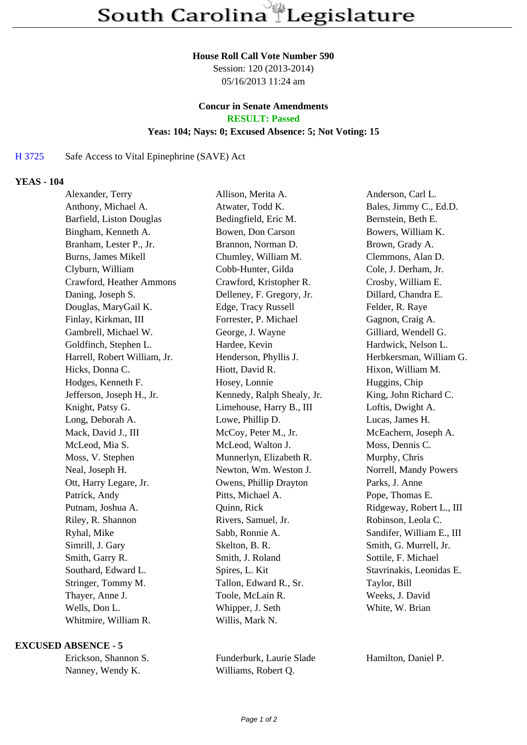### **House Roll Call Vote Number 590**

Session: 120 (2013-2014) 05/16/2013 11:24 am

### **Concur in Senate Amendments RESULT: Passed**

## **Yeas: 104; Nays: 0; Excused Absence: 5; Not Voting: 15**

### H 3725 Safe Access to Vital Epinephrine (SAVE) Act

### **YEAS - 104**

| Alexander, Terry             | Allison, Merita A.         | Anderson, Carl L.         |
|------------------------------|----------------------------|---------------------------|
| Anthony, Michael A.          | Atwater, Todd K.           | Bales, Jimmy C., Ed.D.    |
| Barfield, Liston Douglas     | Bedingfield, Eric M.       | Bernstein, Beth E.        |
| Bingham, Kenneth A.          | Bowen, Don Carson          | Bowers, William K.        |
| Branham, Lester P., Jr.      | Brannon, Norman D.         | Brown, Grady A.           |
| <b>Burns, James Mikell</b>   | Chumley, William M.        | Clemmons, Alan D.         |
| Clyburn, William             | Cobb-Hunter, Gilda         | Cole, J. Derham, Jr.      |
| Crawford, Heather Ammons     | Crawford, Kristopher R.    | Crosby, William E.        |
| Daning, Joseph S.            | Delleney, F. Gregory, Jr.  | Dillard, Chandra E.       |
| Douglas, MaryGail K.         | Edge, Tracy Russell        | Felder, R. Raye           |
| Finlay, Kirkman, III         | Forrester, P. Michael      | Gagnon, Craig A.          |
| Gambrell, Michael W.         | George, J. Wayne           | Gilliard, Wendell G.      |
| Goldfinch, Stephen L.        | Hardee, Kevin              | Hardwick, Nelson L.       |
| Harrell, Robert William, Jr. | Henderson, Phyllis J.      | Herbkersman, William G.   |
| Hicks, Donna C.              | Hiott, David R.            | Hixon, William M.         |
| Hodges, Kenneth F.           | Hosey, Lonnie              | Huggins, Chip             |
| Jefferson, Joseph H., Jr.    | Kennedy, Ralph Shealy, Jr. | King, John Richard C.     |
| Knight, Patsy G.             | Limehouse, Harry B., III   | Loftis, Dwight A.         |
| Long, Deborah A.             | Lowe, Phillip D.           | Lucas, James H.           |
| Mack, David J., III          | McCoy, Peter M., Jr.       | McEachern, Joseph A.      |
| McLeod, Mia S.               | McLeod, Walton J.          | Moss, Dennis C.           |
| Moss, V. Stephen             | Munnerlyn, Elizabeth R.    | Murphy, Chris             |
| Neal, Joseph H.              | Newton, Wm. Weston J.      | Norrell, Mandy Powers     |
| Ott, Harry Legare, Jr.       | Owens, Phillip Drayton     | Parks, J. Anne            |
| Patrick, Andy                | Pitts, Michael A.          | Pope, Thomas E.           |
| Putnam, Joshua A.            | Quinn, Rick                | Ridgeway, Robert L., III  |
| Riley, R. Shannon            | Rivers, Samuel, Jr.        | Robinson, Leola C.        |
| Ryhal, Mike                  | Sabb, Ronnie A.            | Sandifer, William E., III |
| Simrill, J. Gary             | Skelton, B. R.             | Smith, G. Murrell, Jr.    |
| Smith, Garry R.              | Smith, J. Roland           | Sottile, F. Michael       |
| Southard, Edward L.          | Spires, L. Kit             | Stavrinakis, Leonidas E.  |
| Stringer, Tommy M.           | Tallon, Edward R., Sr.     | Taylor, Bill              |
| Thayer, Anne J.              | Toole, McLain R.           | Weeks, J. David           |
| Wells, Don L.                | Whipper, J. Seth           | White, W. Brian           |
| Whitmire, William R.         | Willis, Mark N.            |                           |

#### **EXCUSED ABSENCE - 5**

| Erickson, Shannon S. |
|----------------------|
| Nanney, Wendy K.     |

Funderburk, Laurie Slade Hamilton, Daniel P. Williams, Robert Q.